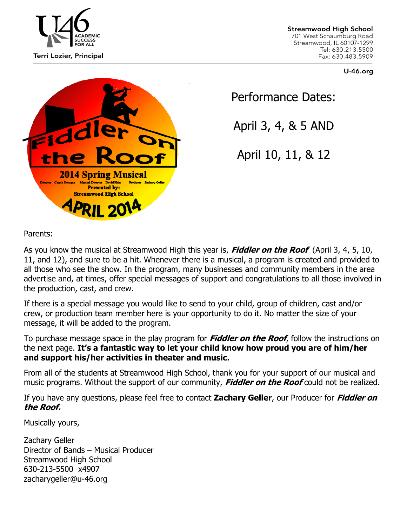

**Streamwood High School** 701 West Schaumburg Road Streamwood, IL 60107-1299 Tel: 630.213.5500 Fax: 630.483.5909

**U-46.org** 



Performance Dates:

April 3, 4, & 5 AND

April 10, 11, & 12

Parents:

As you know the musical at Streamwood High this year is, **Fiddler on the Roof** (April 3, 4, 5, 10, 11, and 12), and sure to be a hit. Whenever there is a musical, a program is created and provided to all those who see the show. In the program, many businesses and community members in the area advertise and, at times, offer special messages of support and congratulations to all those involved in the production, cast, and crew.

If there is a special message you would like to send to your child, group of children, cast and/or crew, or production team member here is your opportunity to do it. No matter the size of your message, it will be added to the program.

To purchase message space in the play program for **Fiddler on the Roof**, follow the instructions on the next page. **It's a fantastic way to let your child know how proud you are of him/her and support his/her activities in theater and music.**

From all of the students at Streamwood High School, thank you for your support of our musical and music programs. Without the support of our community, **Fiddler on the Roof** could not be realized.

If you have any questions, please feel free to contact **Zachary Geller**, our Producer for **Fiddler on the Roof.**

Musically yours,

Zachary Geller Director of Bands – Musical Producer Streamwood High School 630-213-5500 x4907 zacharygeller@u-46.org